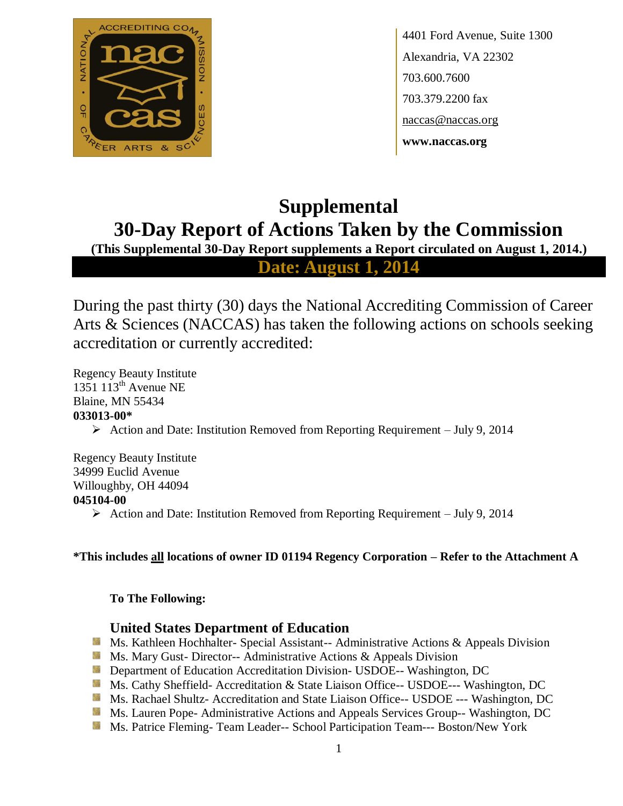

4401 Ford Avenue, Suite 1300 Alexandria, VA 22302 703.600.7600 703.379.2200 fax naccas@naccas.org **www.naccas.org**

# **Supplemental 30-Day Report of Actions Taken by the Commission**

**(This Supplemental 30-Day Report supplements a Report circulated on August 1, 2014.)**

**Date: August 1, 2014**

During the past thirty (30) days the National Accrediting Commission of Career Arts & Sciences (NACCAS) has taken the following actions on schools seeking accreditation or currently accredited:

Regency Beauty Institute 1351  $113^{\text{th}}$  Avenue NE Blaine, MN 55434 **033013-00\***

Action and Date: Institution Removed from Reporting Requirement – July 9, 2014

Regency Beauty Institute 34999 Euclid Avenue Willoughby, OH 44094 **045104-00**  $\triangleright$  Action and Date: Institution Removed from Reporting Requirement – July 9, 2014

## **\*This includes all locations of owner ID 01194 Regency Corporation – Refer to the Attachment A**

## **To The Following:**

## **United States Department of Education**

- Ms. Kathleen Hochhalter- Special Assistant-- Administrative Actions & Appeals Division
- **Ms.** Mary Gust-Director-- Administrative Actions  $\&$  Appeals Division
- **Department of Education Accreditation Division- USDOE-- Washington, DC**
- Ms. Cathy Sheffield- Accreditation & State Liaison Office-- USDOE--- Washington, DC
- Ms. Rachael Shultz- Accreditation and State Liaison Office-- USDOE --- Washington, DC
- **Ms. Lauren Pope- Administrative Actions and Appeals Services Group-- Washington, DC**
- Ms. Patrice Fleming- Team Leader-- School Participation Team--- Boston/New York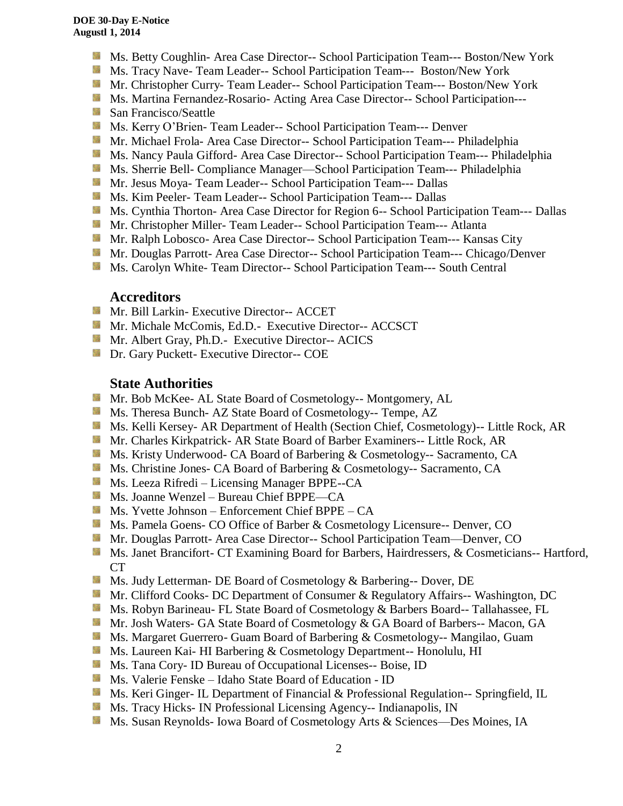- Ms. Betty Coughlin- Area Case Director-- School Participation Team--- Boston/New York
- Ms. Tracy Nave- Team Leader-- School Participation Team--- Boston/New York
- **Mr. Christopher Curry- Team Leader-- School Participation Team--- Boston/New York**
- **Ms. Martina Fernandez-Rosario- Acting Area Case Director-- School Participation---**
- San Francisco/Seattle
- **Ms. Kerry O'Brien- Team Leader-- School Participation Team--- Denver**
- **Mr. Michael Frola- Area Case Director-- School Participation Team--- Philadelphia**
- Ms. Nancy Paula Gifford- Area Case Director-- School Participation Team--- Philadelphia
- **Ms. Sherrie Bell- Compliance Manager—School Participation Team--- Philadelphia**
- Mr. Jesus Moya- Team Leader-- School Participation Team--- Dallas
- **MS. Kim Peeler-Team Leader-- School Participation Team--- Dallas**
- **Ms. Cynthia Thorton- Area Case Director for Region 6-- School Participation Team--- Dallas**
- **Mr. Christopher Miller-Team Leader-- School Participation Team--- Atlanta**
- **Mr. Ralph Lobosco- Area Case Director-- School Participation Team--- Kansas City**
- **Mr. Douglas Parrott- Area Case Director-- School Participation Team--- Chicago/Denver**
- Ms. Carolyn White-Team Director-- School Participation Team--- South Central

#### **Accreditors**

- Mr. Bill Larkin- Executive Director-- ACCET
- **Mr. Michale McComis, Ed.D.- Executive Director-- ACCSCT**
- **Mr.** Albert Gray, Ph.D.- Executive Director-- ACICS
- **Dr.** Gary Puckett- Executive Director-- COE

### **State Authorities**

- Mr. Bob McKee- AL State Board of Cosmetology-- Montgomery, AL
- Ms. Theresa Bunch- AZ State Board of Cosmetology-- Tempe, AZ
- **Ms. Kelli Kersey- AR Department of Health (Section Chief, Cosmetology)**-- Little Rock, AR
- **Mr. Charles Kirkpatrick- AR State Board of Barber Examiners-- Little Rock, AR**
- **Ms. Kristy Underwood- CA Board of Barbering & Cosmetology-- Sacramento, CA**
- **Ms.** Christine Jones- CA Board of Barbering & Cosmetology-- Sacramento, CA
- Ms. Leeza Rifredi Licensing Manager BPPE--CA
- Ms. Joanne Wenzel Bureau Chief BPPE—CA
- $M$  Ms. Yvette Johnson Enforcement Chief BPPE CA
- Ms. Pamela Goens- CO Office of Barber & Cosmetology Licensure-- Denver, CO
- Mr. Douglas Parrott- Area Case Director-- School Participation Team—Denver, CO
- Ms. Janet Brancifort- CT Examining Board for Barbers, Hairdressers, & Cosmeticians-- Hartford, CT
- **Ms. Judy Letterman- DE Board of Cosmetology & Barbering-- Dover, DE**
- **Mr. Clifford Cooks- DC Department of Consumer & Regulatory Affairs-- Washington, DC**
- **Ms. Robyn Barineau- FL State Board of Cosmetology & Barbers Board-- Tallahassee, FL**
- Mr. Josh Waters- GA State Board of Cosmetology & GA Board of Barbers-- Macon, GA
- Ms. Margaret Guerrero- Guam Board of Barbering & Cosmetology-- Mangilao, Guam
- **Ms. Laureen Kai- HI Barbering & Cosmetology Department-- Honolulu, HI**
- Ms. Tana Cory- ID Bureau of Occupational Licenses-- Boise, ID
- **Ms.** Valerie Fenske Idaho State Board of Education ID
- **Ms. Keri Ginger- IL Department of Financial & Professional Regulation-- Springfield, IL**
- **Ms.** Tracy Hicks- IN Professional Licensing Agency-- Indianapolis, IN
- Ms. Susan Reynolds- Iowa Board of Cosmetology Arts & Sciences—Des Moines, IA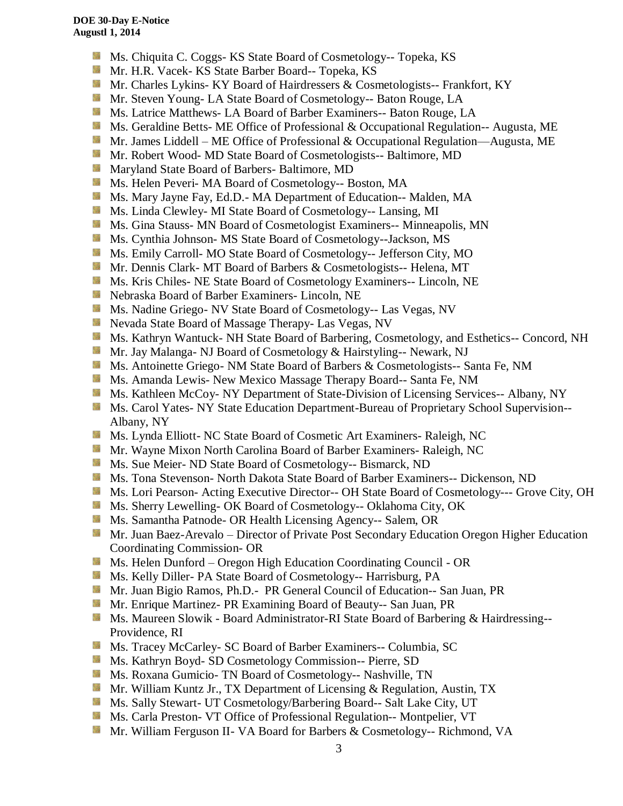- **Ms.** Chiquita C. Coggs- KS State Board of Cosmetology-- Topeka, KS
- Mr. H.R. Vacek- KS State Barber Board-- Topeka, KS
- Mr. Charles Lykins- KY Board of Hairdressers & Cosmetologists-- Frankfort, KY
- **Mr.** Steven Young-LA State Board of Cosmetology-- Baton Rouge, LA
- Ms. Latrice Matthews- LA Board of Barber Examiners-- Baton Rouge, LA
- **Ms.** Geraldine Betts- ME Office of Professional & Occupational Regulation-- Augusta, ME
- Mr. James Liddell ME Office of Professional & Occupational Regulation—Augusta, ME
- Mr. Robert Wood- MD State Board of Cosmetologists-- Baltimore, MD
- **Maryland State Board of Barbers- Baltimore, MD**
- Ms. Helen Peveri- MA Board of Cosmetology-- Boston, MA
- Ms. Mary Jayne Fay, Ed.D.- MA Department of Education-- Malden, MA
- Ms. Linda Clewley- MI State Board of Cosmetology-- Lansing, MI
- **Ms.** Gina Stauss- MN Board of Cosmetologist Examiners-- Minneapolis, MN
- Ms. Cynthia Johnson- MS State Board of Cosmetology--Jackson, MS
- **Ms. Emily Carroll- MO State Board of Cosmetology-- Jefferson City, MO**
- Mr. Dennis Clark- MT Board of Barbers & Cosmetologists-- Helena, MT
- **MS.** Kris Chiles- NE State Board of Cosmetology Examiners-- Lincoln, NE
- Nebraska Board of Barber Examiners- Lincoln, NE
- **Ms.** Nadine Griego- NV State Board of Cosmetology-- Las Vegas, NV
- Nevada State Board of Massage Therapy- Las Vegas, NV
- Ms. Kathryn Wantuck- NH State Board of Barbering, Cosmetology, and Esthetics-- Concord, NH
- Mr. Jay Malanga- NJ Board of Cosmetology & Hairstyling-- Newark, NJ
- **Ms.** Antoinette Griego- NM State Board of Barbers & Cosmetologists-- Santa Fe, NM
- Ms. Amanda Lewis- New Mexico Massage Therapy Board-- Santa Fe, NM
- **Ms. Kathleen McCoy- NY Department of State-Division of Licensing Services-- Albany, NY**
- Ms. Carol Yates- NY State Education Department-Bureau of Proprietary School Supervision--Albany, NY
- Ms. Lynda Elliott- NC State Board of Cosmetic Art Examiners- Raleigh, NC
- **Mr. Wayne Mixon North Carolina Board of Barber Examiners- Raleigh, NC**
- **Ms. Sue Meier- ND State Board of Cosmetology-- Bismarck, ND**
- Ms. Tona Stevenson- North Dakota State Board of Barber Examiners-- Dickenson, ND
- Ms. Lori Pearson- Acting Executive Director-- OH State Board of Cosmetology--- Grove City, OH
- Ms. Sherry Lewelling- OK Board of Cosmetology-- Oklahoma City, OK
- Ms. Samantha Patnode- OR Health Licensing Agency-- Salem, OR
- **Mr. Juan Baez-Arevalo** Director of Private Post Secondary Education Oregon Higher Education Coordinating Commission- OR
- **Ms. Helen Dunford Oregon High Education Coordinating Council OR**
- Ms. Kelly Diller- PA State Board of Cosmetology-- Harrisburg, PA
- Mr. Juan Bigio Ramos, Ph.D.- PR General Council of Education-- San Juan, PR
- Mr. Enrique Martinez- PR Examining Board of Beauty-- San Juan, PR
- Ms. Maureen Slowik Board Administrator-RI State Board of Barbering & Hairdressing--Providence, RI
- **Ms. Tracey McCarley- SC Board of Barber Examiners-- Columbia, SC**
- **Ms. Kathryn Boyd- SD Cosmetology Commission-- Pierre, SD**
- Ms. Roxana Gumicio- TN Board of Cosmetology-- Nashville, TN
- **Mr.** William Kuntz Jr., TX Department of Licensing & Regulation, Austin, TX
- Ms. Sally Stewart- UT Cosmetology/Barbering Board-- Salt Lake City, UT
- **Ms. Carla Preston- VT Office of Professional Regulation-- Montpelier, VT**
- Mr. William Ferguson II- VA Board for Barbers & Cosmetology-- Richmond, VA